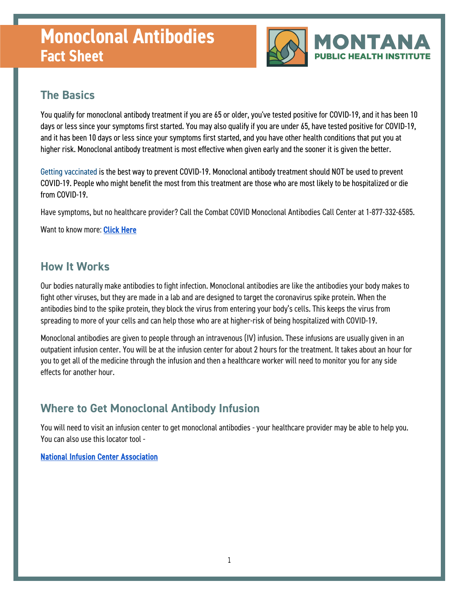# **Monoclonal Antibodies Fact Sheet**



### **The Basics**

You qualify for monoclonal antibody treatment if you are 65 or older, you've tested positive for COVID-19, and it has been 10 days or less since your symptoms first started. You may also qualify if you are under 65, have tested positive for COVID-19, and it has been 10 days or less since your symptoms first started, and you have other health conditions that put you at higher risk. Monoclonal antibody treatment is most effective when given early and the sooner it is given the better.

[Getting vaccinated](https://coronavirus.utah.gov/vaccine-distribution) is the best way to prevent COVID-19. Monoclonal antibody treatment should NOT be used to prevent COVID-19. People who might benefit the most from this treatment are those who are most likely to be hospitalized or die from COVID-19.

Have symptoms, but no healthcare provider? Call the Combat COVID Monoclonal Antibodies Call Center at 1-877-332-6585.

Want to know more: Click Here

#### **How It Works**

Our bodies naturally make antibodies to fight infection. Monoclonal antibodies are like the antibodies your body makes to fight other viruses, but they are made in a lab and are designed to target the coronavirus spike protein. When the antibodies bind to the spike protein, they block the virus from entering your body's cells. This keeps the virus from spreading to more of your cells and can help those who are at higher-risk of being hospitalized with COVID-19.

Monoclonal antibodies are given to people through an intravenous (IV) infusion. These infusions are usually given in an outpatient infusion center. You will be at the infusion center for about 2 hours for the treatment. It takes about an hour for you to get all of the medicine through the infusion and then a healthcare worker will need to monitor you for any side effects for another hour.

### **Where to Get Monoclonal Antibody Infusion**

You will need to visit an infusion center to get monoclonal antibodies - your healthcare provider may be able to help you. You can also use this locator tool -

#### [National Infusion Center Association](https://covid.infusioncenter.org)